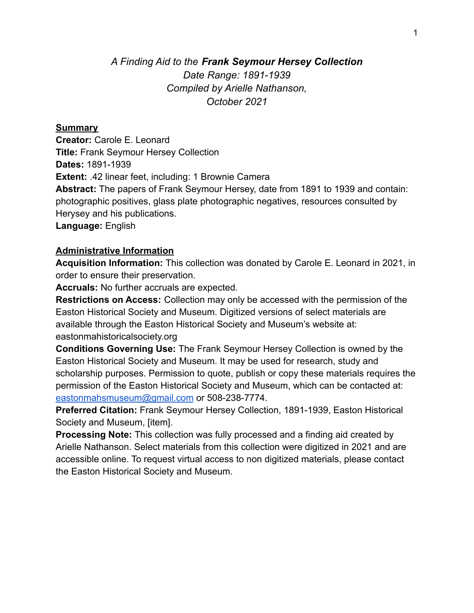## *A Finding Aid to the Frank Seymour Hersey Collection Date Range: 1891-1939 Compiled by Arielle Nathanson, October 2021*

#### **Summary**

**Creator:** Carole E. Leonard **Title:** Frank Seymour Hersey Collection **Dates:** 1891-1939 **Extent:** .42 linear feet, including: 1 Brownie Camera **Abstract:** The papers of Frank Seymour Hersey, date from 1891 to 1939 and contain: photographic positives, glass plate photographic negatives, resources consulted by Herysey and his publications. **Language:** English

#### **Administrative Information**

**Acquisition Information:** This collection was donated by Carole E. Leonard in 2021, in order to ensure their preservation.

**Accruals:** No further accruals are expected.

**Restrictions on Access:** Collection may only be accessed with the permission of the Easton Historical Society and Museum. Digitized versions of select materials are available through the Easton Historical Society and Museum's website at: eastonmahistoricalsociety.org

**Conditions Governing Use:** The Frank Seymour Hersey Collection is owned by the Easton Historical Society and Museum. It may be used for research, study and scholarship purposes. Permission to quote, publish or copy these materials requires the permission of the Easton Historical Society and Museum, which can be contacted at: eastonmahsmuseum@gmail.com or 508-238-7774.

**Preferred Citation:** Frank Seymour Hersey Collection, 1891-1939, Easton Historical Society and Museum, [item].

**Processing Note:** This collection was fully processed and a finding aid created by Arielle Nathanson. Select materials from this collection were digitized in 2021 and are accessible online. To request virtual access to non digitized materials, please contact the Easton Historical Society and Museum.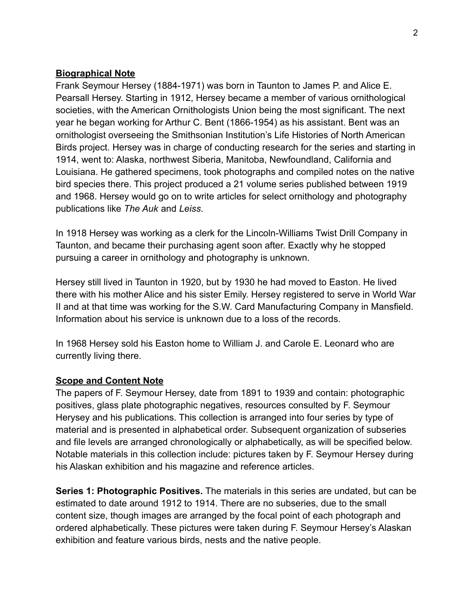### **Biographical Note**

Frank Seymour Hersey (1884-1971) was born in Taunton to James P. and Alice E. Pearsall Hersey. Starting in 1912, Hersey became a member of various ornithological societies, with the American Ornithologists Union being the most significant. The next year he began working for Arthur C. Bent (1866-1954) as his assistant. Bent was an ornithologist overseeing the Smithsonian Institution's Life Histories of North American Birds project. Hersey was in charge of conducting research for the series and starting in 1914, went to: Alaska, northwest Siberia, Manitoba, Newfoundland, California and Louisiana. He gathered specimens, took photographs and compiled notes on the native bird species there. This project produced a 21 volume series published between 1919 and 1968. Hersey would go on to write articles for select ornithology and photography publications like *The Auk* and *Leiss*.

In 1918 Hersey was working as a clerk for the Lincoln-Williams Twist Drill Company in Taunton, and became their purchasing agent soon after. Exactly why he stopped pursuing a career in ornithology and photography is unknown.

Hersey still lived in Taunton in 1920, but by 1930 he had moved to Easton. He lived there with his mother Alice and his sister Emily. Hersey registered to serve in World War II and at that time was working for the S.W. Card Manufacturing Company in Mansfield. Information about his service is unknown due to a loss of the records.

In 1968 Hersey sold his Easton home to William J. and Carole E. Leonard who are currently living there.

#### **Scope and Content Note**

The papers of F. Seymour Hersey, date from 1891 to 1939 and contain: photographic positives, glass plate photographic negatives, resources consulted by F. Seymour Herysey and his publications. This collection is arranged into four series by type of material and is presented in alphabetical order. Subsequent organization of subseries and file levels are arranged chronologically or alphabetically, as will be specified below. Notable materials in this collection include: pictures taken by F. Seymour Hersey during his Alaskan exhibition and his magazine and reference articles.

**Series 1: Photographic Positives.** The materials in this series are undated, but can be estimated to date around 1912 to 1914. There are no subseries, due to the small content size, though images are arranged by the focal point of each photograph and ordered alphabetically. These pictures were taken during F. Seymour Hersey's Alaskan exhibition and feature various birds, nests and the native people.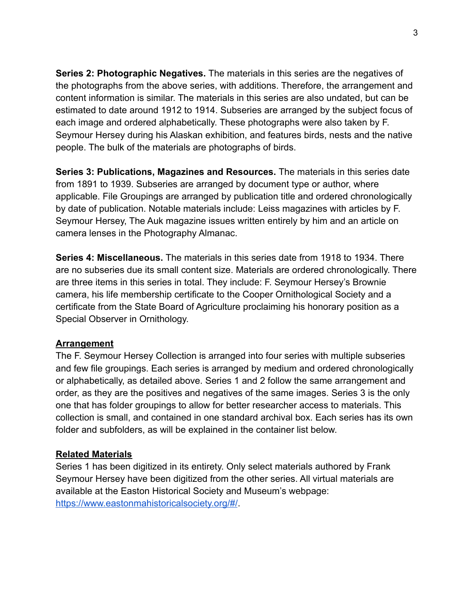**Series 2: Photographic Negatives.** The materials in this series are the negatives of the photographs from the above series, with additions. Therefore, the arrangement and content information is similar. The materials in this series are also undated, but can be estimated to date around 1912 to 1914. Subseries are arranged by the subject focus of each image and ordered alphabetically. These photographs were also taken by F. Seymour Hersey during his Alaskan exhibition, and features birds, nests and the native people. The bulk of the materials are photographs of birds.

**Series 3: Publications, Magazines and Resources.** The materials in this series date from 1891 to 1939. Subseries are arranged by document type or author, where applicable. File Groupings are arranged by publication title and ordered chronologically by date of publication. Notable materials include: Leiss magazines with articles by F. Seymour Hersey, The Auk magazine issues written entirely by him and an article on camera lenses in the Photography Almanac.

**Series 4: Miscellaneous.** The materials in this series date from 1918 to 1934. There are no subseries due its small content size. Materials are ordered chronologically. There are three items in this series in total. They include: F. Seymour Hersey's Brownie camera, his life membership certificate to the Cooper Ornithological Society and a certificate from the State Board of Agriculture proclaiming his honorary position as a Special Observer in Ornithology.

#### **Arrangement**

The F. Seymour Hersey Collection is arranged into four series with multiple subseries and few file groupings. Each series is arranged by medium and ordered chronologically or alphabetically, as detailed above. Series 1 and 2 follow the same arrangement and order, as they are the positives and negatives of the same images. Series 3 is the only one that has folder groupings to allow for better researcher access to materials. This collection is small, and contained in one standard archival box. Each series has its own folder and subfolders, as will be explained in the container list below.

#### **Related Materials**

Series 1 has been digitized in its entirety. Only select materials authored by Frank Seymour Hersey have been digitized from the other series. All virtual materials are available at the Easton Historical Society and Museum's webpage: https://www.eastonmahistoricalsociety.org/#/.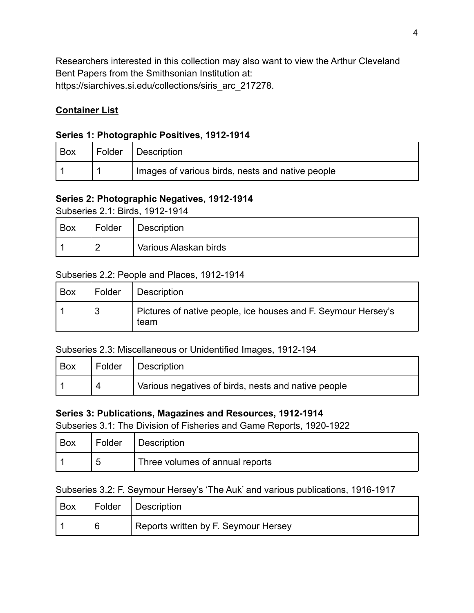Researchers interested in this collection may also want to view the Arthur Cleveland Bent Papers from the Smithsonian Institution at: https://siarchives.si.edu/collections/siris\_arc\_217278.

## **Container List**

### **Series 1: Photographic Positives, 1912-1914**

| Box | Folder Description                               |
|-----|--------------------------------------------------|
|     | Images of various birds, nests and native people |

### **Series 2: Photographic Negatives, 1912-1914**

Subseries 2.1: Birds, 1912-1914

| <b>Box</b> | Folder                   | Description           |
|------------|--------------------------|-----------------------|
|            | $\overline{\phantom{a}}$ | Various Alaskan birds |

#### Subseries 2.2: People and Places, 1912-1914

| Box | Folder | Description                                                           |
|-----|--------|-----------------------------------------------------------------------|
|     |        | Pictures of native people, ice houses and F. Seymour Hersey's<br>team |

#### Subseries 2.3: Miscellaneous or Unidentified Images, 1912-194

| ' Box | Folder   Description                                |
|-------|-----------------------------------------------------|
|       | Various negatives of birds, nests and native people |

#### **Series 3: Publications, Magazines and Resources, 1912-1914**

Subseries 3.1: The Division of Fisheries and Game Reports, 1920-1922

| Box | ' Folder | Description                     |
|-----|----------|---------------------------------|
|     | ∽        | Three volumes of annual reports |

#### Subseries 3.2: F. Seymour Hersey's 'The Auk' and various publications, 1916-1917

| Box |   | Folder   Description                 |
|-----|---|--------------------------------------|
|     | 6 | Reports written by F. Seymour Hersey |